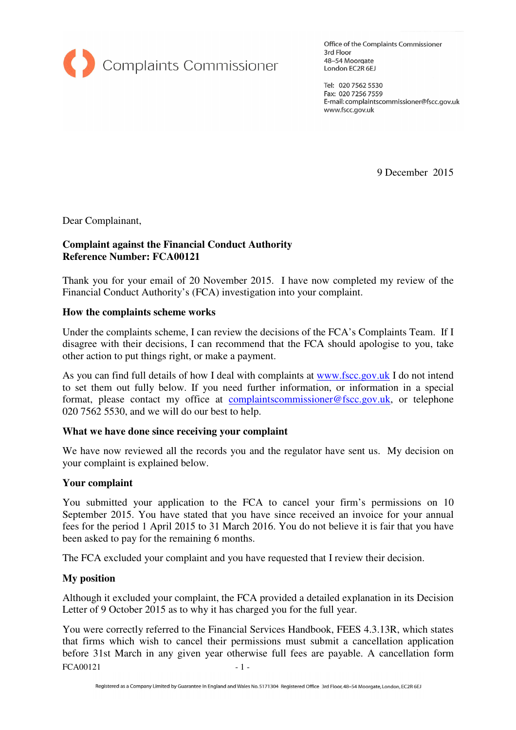

Office of the Complaints Commissioner 3rd Floor 48-54 Moorgate London EC2R 6EJ

Tel: 020 7562 5530 Fax: 020 7256 7559 E-mail: complaintscommissioner@fscc.gov.uk www.fscc.gov.uk

9 December 2015

Dear Complainant,

## **Complaint against the Financial Conduct Authority Reference Number: FCA00121**

Thank you for your email of 20 November 2015. I have now completed my review of the Financial Conduct Authority's (FCA) investigation into your complaint.

### **How the complaints scheme works**

Under the complaints scheme, I can review the decisions of the FCA's Complaints Team. If I disagree with their decisions, I can recommend that the FCA should apologise to you, take other action to put things right, or make a payment.

As you can find full details of how I deal with complaints at www.fscc.gov.uk I do not intend to set them out fully below. If you need further information, or information in a special format, please contact my office at complaintscommissioner@fscc.gov.uk, or telephone 020 7562 5530, and we will do our best to help.

### **What we have done since receiving your complaint**

We have now reviewed all the records you and the regulator have sent us. My decision on your complaint is explained below.

### **Your complaint**

You submitted your application to the FCA to cancel your firm's permissions on 10 September 2015. You have stated that you have since received an invoice for your annual fees for the period 1 April 2015 to 31 March 2016. You do not believe it is fair that you have been asked to pay for the remaining 6 months.

The FCA excluded your complaint and you have requested that I review their decision.

### **My position**

Although it excluded your complaint, the FCA provided a detailed explanation in its Decision Letter of 9 October 2015 as to why it has charged you for the full year.

 $FCA00121$  - 1 -You were correctly referred to the Financial Services Handbook, FEES 4.3.13R, which states that firms which wish to cancel their permissions must submit a cancellation application before 31st March in any given year otherwise full fees are payable. A cancellation form